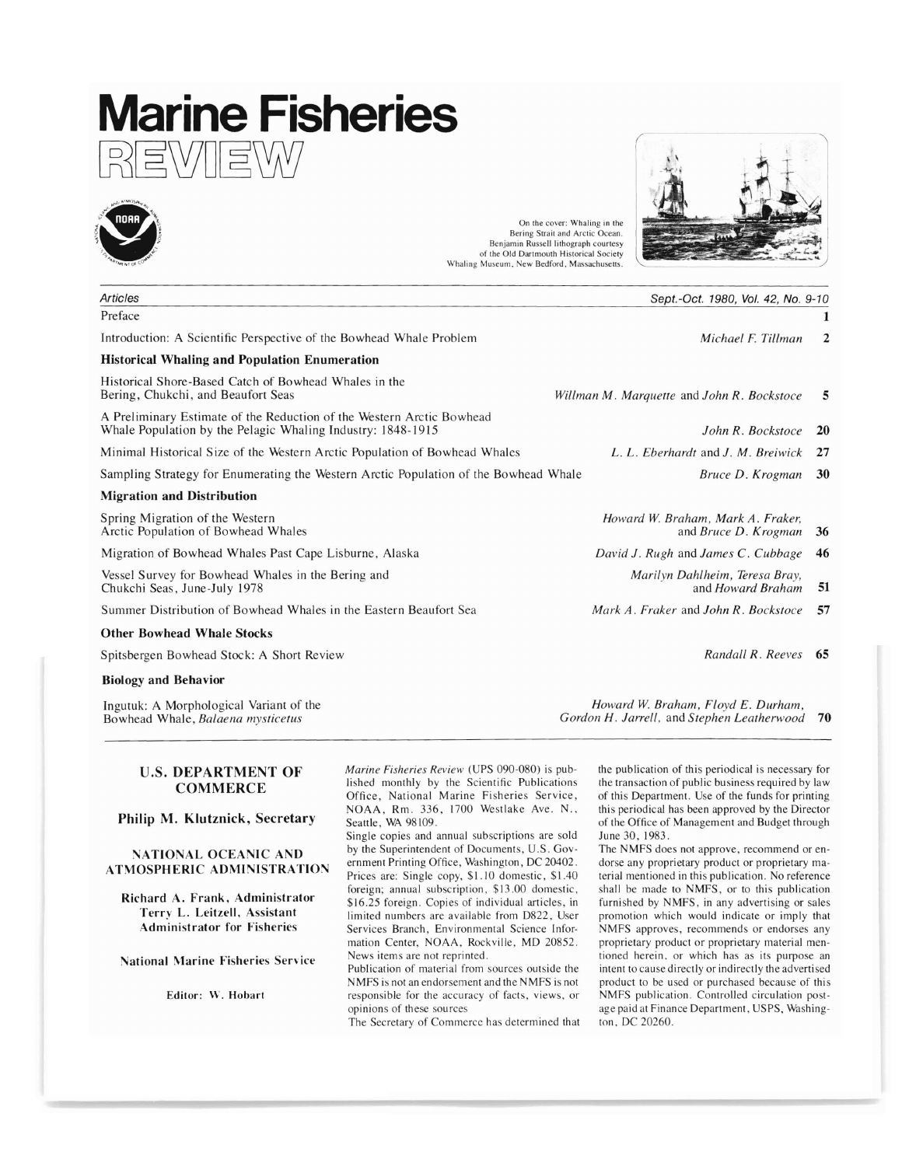# **Marine Fisheries REWIEW**



| <b>PIMENT OF</b>                                                                                                                     | of the Old Dartmouth Historical Society<br>Whaling Museum, New Bedford, Massachusetts. |
|--------------------------------------------------------------------------------------------------------------------------------------|----------------------------------------------------------------------------------------|
| <b>Articles</b>                                                                                                                      | Sept.-Oct. 1980, Vol. 42, No. 9-10                                                     |
| Preface                                                                                                                              |                                                                                        |
| Introduction: A Scientific Perspective of the Bowhead Whale Problem                                                                  | Michael F. Tillman<br>$\mathbf{2}$                                                     |
| <b>Historical Whaling and Population Enumeration</b>                                                                                 |                                                                                        |
| Historical Shore-Based Catch of Bowhead Whales in the<br>Bering, Chukchi, and Beaufort Seas                                          | Willman M. Marquette and John R. Bockstoce<br>5                                        |
| A Preliminary Estimate of the Reduction of the Western Arctic Bowhead<br>Whale Population by the Pelagic Whaling Industry: 1848-1915 | John R. Bockstoce<br><b>20</b>                                                         |
| Minimal Historical Size of the Western Arctic Population of Bowhead Whales                                                           | L. L. Eberhardt and J. M. Breiwick<br>27                                               |
| Sampling Strategy for Enumerating the Western Arctic Population of the Bowhead Whale                                                 | Bruce D. Krogman<br>30                                                                 |
| <b>Migration and Distribution</b>                                                                                                    |                                                                                        |
| Spring Migration of the Western<br>Arctic Population of Bowhead Whales                                                               | Howard W. Braham, Mark A. Fraker,<br>and Bruce D. Krogman<br>36                        |
| Migration of Bowhead Whales Past Cape Lisburne, Alaska                                                                               | David J. Rugh and James C. Cubbage<br>46                                               |
| Vessel Survey for Bowhead Whales in the Bering and<br>Chukchi Seas, June-July 1978                                                   | Marilyn Dahlheim, Teresa Bray,<br>51<br>and Howard Braham                              |
| Summer Distribution of Bowhead Whales in the Eastern Beaufort Sea                                                                    | Mark A. Fraker and John R. Bockstoce<br>57                                             |
| <b>Other Bowhead Whale Stocks</b>                                                                                                    |                                                                                        |
| Spitsbergen Bowhead Stock: A Short Review                                                                                            | Randall R. Reeves 65                                                                   |
| <b>Biology and Behavior</b>                                                                                                          |                                                                                        |
| Ingutuk: A Morphological Variant of the                                                                                              | Howard W. Braham, Floyd E. Durham,                                                     |

On the cover: Whaling in the Bering Strait and Arctic Ocean. Benjamin Russell lithograph courtesy

Ingutuk: A Morphological Variant of the Bowhead Whale, *Balaena mysticetus*

### U.S. DEPARTMENT OF **COMMERCE**

Philip M. Klutznick, Secretary

#### NATIONAL OCEANIC AND ATMOSPHERIC ADMINISTRATION

Richard A. Frank. Administrator Terry L. Leitzell. Assistant Administrator for Fisheries

National Marine Fisheries Service

Editor: W. Hobart

*Marine Fisheries Review* (UPS 090-080) is published monthly by the Scientific Publications Office, National Marine Fisheries Service, NOAA, Rm. 336, 1700 Westlake Ave. N., Seattle, WA 98109.

Single copies and annual subscriptions are sold by the Superintendent of Documents, U.S. Government Printing Office, Washington, DC 20402. Prices are: Single copy, \$1.10 domestic, \$1.40 foreign; annual subscription, \$13.00 domestic, \$16.25 foreign. Copies of individual articles, in limited numbers are available from D822, User Services Branch, Environmental Science Information Center, NOAA, Rockville, MD 20852. News items are not reprinted.

Publication of material from sources outside the NMFS is not an endorsement and the NMFS is not responsible for the accuracy of facts, views, or opinions of these sources

The Secretary of Commerce has determined that

the publication of this periodical is necessary for the transaction of public business required by law of this Department. Use of the funds for printing this periodical has been approved by the Director of the Office of Management and Budget through June 30,1983.

*Gordon H. Jarrell,* and *Stephen Leatherwood* 70

The NMFS does not approve, recommend or endorse any proprietary product or proprietary material mentioned in this publication. No reference shall be made to NMFS, or to this publication furnished by NMFS, in any advertising or sales promotion which would indicate or imply that MFS approves, recommends or endorses any proprietary product or proprietary material mentioned herein. or which has as its purpose an intent to cause directly or indirectly the advertised product to be used or purchased because of this NMFS publication. Controlled circulation postage paid at Finance Department, USPS, Washington. DC 20260.